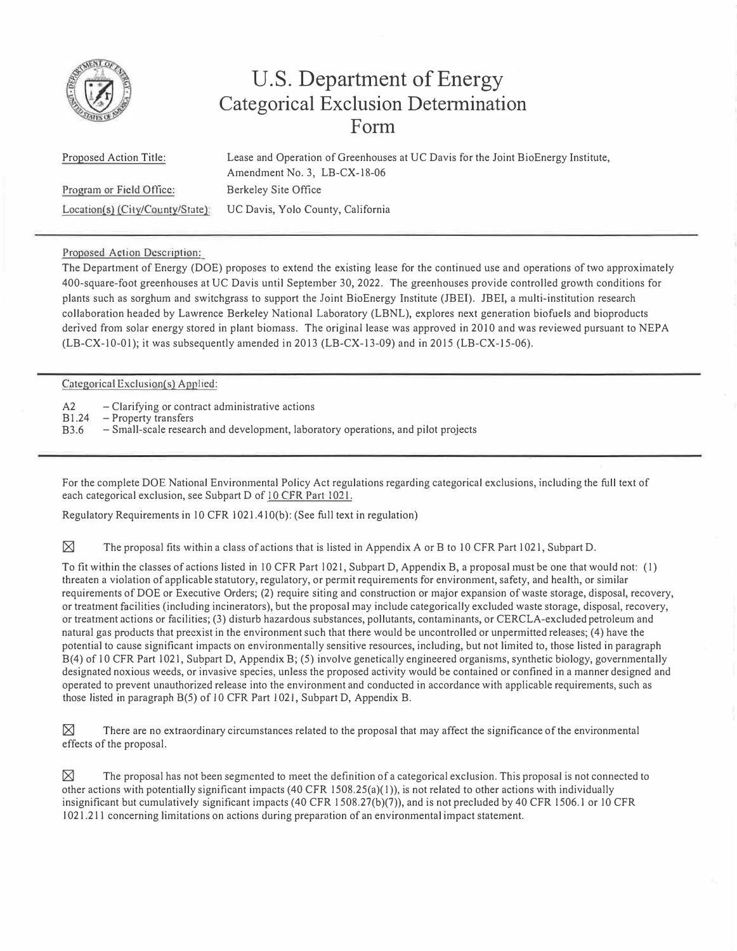

## **U.S. Department of Energy Categorical Exclusion Determination Form**

| <b>Proposed Action Title:</b>    | Lease and Operation of Greenhouses at UC Davis for the Joint BioEnergy Institute, |  |
|----------------------------------|-----------------------------------------------------------------------------------|--|
|                                  | Amendment No. 3, $LB-CX-18-06$                                                    |  |
| Program or Field Office:         | Berkeley Site Office                                                              |  |
| Location(s) (City/Country/State) | UC Davis, Yolo County, California                                                 |  |

## Proposed Action Description:

The Department of Energy (DOE) proposes to extend the existing lease for the continued use and operations of two approximately 400-square-foot greenhouses at UC Davis until September 30, 2022. The greenhouses provide controlled growth conditions for plants such as sorghum and switchgrass to support the Joint BioEnergy Institute (JBEI). JBEI, a multi-institution research collaboration headed by Lawrence Berkeley National Laboratory (LBNL), explores next generation biofuels and bioproducts derived from solar energy stored in plant biomass. The original lease was approved in 2010 and was reviewed pursuant to NEPA (LB-CX-10-01); it was subsequently amended in 2013 (LB-CX-13-09) and in 2015 (LB-CX-15-06).

## Categorical Exclusion(s) Applied:

A2 - Clarifying or contract administrative actions

Bl.24 - Property transfers

B3.6 - Small-scale research and development, laboratory operations, and pilot projects

For the complete DOE National Environmental Policy Act regulations regarding categorical exclusions, including the full text of each categorical exclusion, see Subpart D of 10 CFR Part 1021.

Regulatory Requirements in IO CFR 1021.41 O(b): (See full text in regulation)

 $\boxtimes$  The proposal fits within a class of actions that is listed in Appendix A or B to 10 CFR Part 1021, Subpart D.

To fit within the classes of actions listed in 10 CFR Part 1021, Subpart D, Appendix B, a proposal must be one that would not: (1) threaten a violation of applicable statutory, regulatory, or permit requirements for environment, safety, and health, or similar requirements of DOE or Executive Orders; (2) require siting and construction or major expansion of waste storage, disposal, recovery, or treatment facilities (including incinerators), but the proposal may include categorically excluded waste storage, disposal, recovery, or treatment actions or facilities; (3) disturb hazardous substances, pollutants, contaminants, or CERCLA-excluded petroleum and natural gas products that preexist in the environment such that there would be uncontrolled or unpermitted releases; (4) have the potential to cause significant impacts on environmentally sensitive resources, including, but not limited to, those listed in paragraph B( 4) of 10 CFR Part 1021, Subpart D, Appendix B; (5) involve genetically engineered organisms, synthetic biology, governmentally designated noxious weeds, or invasive species, unless the proposed activity would be contained or confined in a manner designed and operated to prevent unauthorized release into the environment and conducted in accordance with applicable requirements, such as those listed in paragraph 8(5) of IO CFR Part I 021, Subpart D, Appendix B.

 $\boxtimes$  There are no extraordinary circumstances related to the proposal that may affect the significance of the environmental effects of the proposal.

 $\boxtimes$  The proposal has not been segmented to meet the definition of a categorical exclusion. This proposal is not connected to other actions with potentially significant impacts  $(40 \text{ CFR } 1508.25(a)(1))$ , is not related to other actions with individually insignificant but cumulatively significant impacts ( 40 CFR I 508.27(b)(7)), and is not precluded by 40 CFR 1506.1 or IO CFR I 021.211 concerning limitations on actions during preparntion of an environmental impact statement.